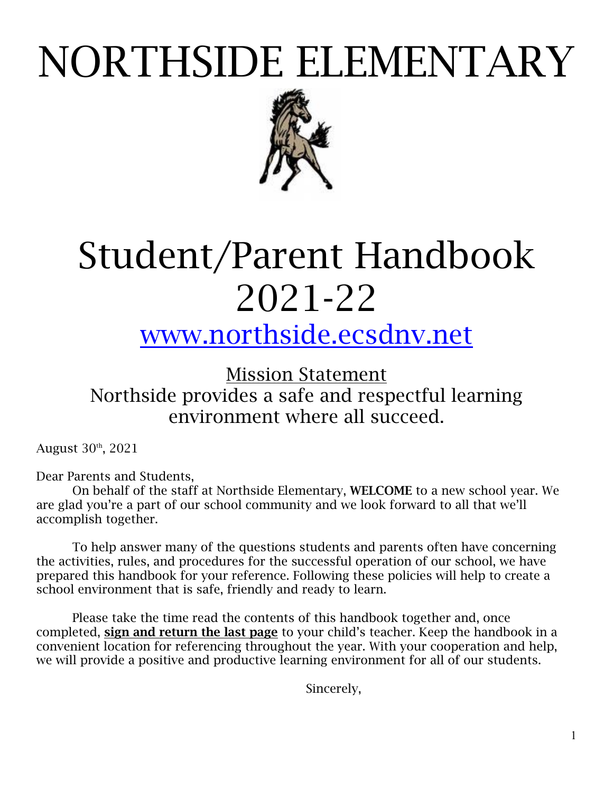# NORTHSIDE ELEMENTARY



# Student/Parent Handbook 2021-22

# www.northside.ecsdnv.net

Mission Statement Northside provides a safe and respectful learning environment where all succeed.

August 30th, 2021

Dear Parents and Students,

On behalf of the staff at Northside Elementary, WELCOME to a new school year. We are glad you're a part of our school community and we look forward to all that we'll accomplish together.

To help answer many of the questions students and parents often have concerning the activities, rules, and procedures for the successful operation of our school, we have prepared this handbook for your reference. Following these policies will help to create a school environment that is safe, friendly and ready to learn.

Please take the time read the contents of this handbook together and, once completed, sign and return the last page to your child's teacher. Keep the handbook in a convenient location for referencing throughout the year. With your cooperation and help, we will provide a positive and productive learning environment for all of our students.

Sincerely,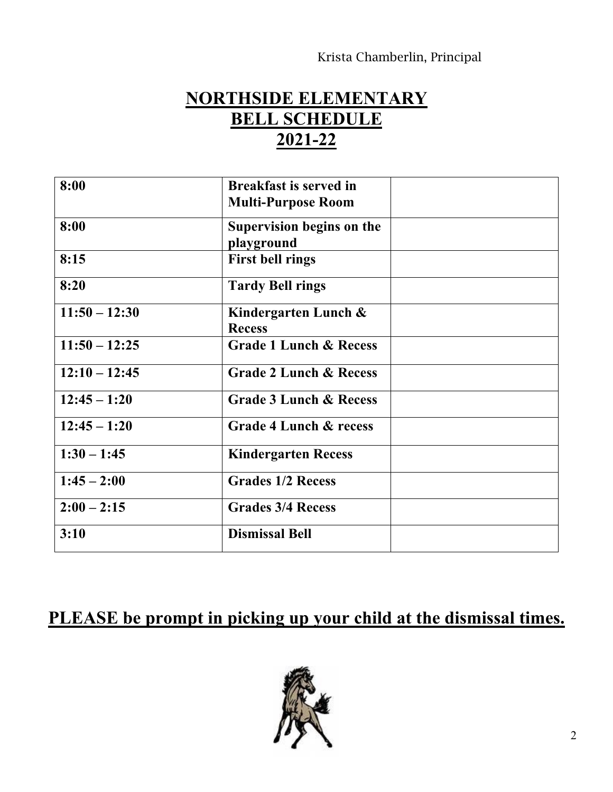## **NORTHSIDE ELEMENTARY BELL SCHEDULE 2021-22**

| 8:00            | <b>Breakfast is served in</b><br><b>Multi-Purpose Room</b> |  |
|-----------------|------------------------------------------------------------|--|
| 8:00            | Supervision begins on the<br>playground                    |  |
| 8:15            | <b>First bell rings</b>                                    |  |
| 8:20            | <b>Tardy Bell rings</b>                                    |  |
| $11:50 - 12:30$ | Kindergarten Lunch $\&$<br><b>Recess</b>                   |  |
| $11:50 - 12:25$ | <b>Grade 1 Lunch &amp; Recess</b>                          |  |
| $12:10 - 12:45$ | <b>Grade 2 Lunch &amp; Recess</b>                          |  |
| $12:45 - 1:20$  | <b>Grade 3 Lunch &amp; Recess</b>                          |  |
| $12:45 - 1:20$  | Grade 4 Lunch & recess                                     |  |
| $1:30 - 1:45$   | <b>Kindergarten Recess</b>                                 |  |
| $1:45 - 2:00$   | <b>Grades 1/2 Recess</b>                                   |  |
| $2:00 - 2:15$   | <b>Grades 3/4 Recess</b>                                   |  |
| 3:10            | <b>Dismissal Bell</b>                                      |  |

## **PLEASE be prompt in picking up your child at the dismissal times.**

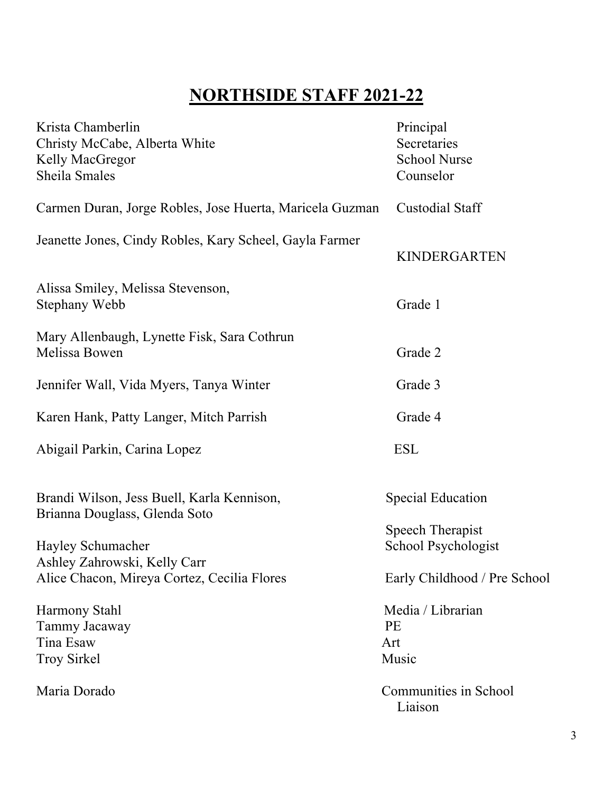## **NORTHSIDE STAFF 2021-22**

| Krista Chamberlin<br>Christy McCabe, Alberta White<br>Kelly MacGregor       | Principal<br>Secretaries<br><b>School Nurse</b> |
|-----------------------------------------------------------------------------|-------------------------------------------------|
| Sheila Smales                                                               | Counselor                                       |
| Carmen Duran, Jorge Robles, Jose Huerta, Maricela Guzman                    | <b>Custodial Staff</b>                          |
| Jeanette Jones, Cindy Robles, Kary Scheel, Gayla Farmer                     | <b>KINDERGARTEN</b>                             |
| Alissa Smiley, Melissa Stevenson,<br>Stephany Webb                          | Grade 1                                         |
| Mary Allenbaugh, Lynette Fisk, Sara Cothrun<br>Melissa Bowen                | Grade 2                                         |
| Jennifer Wall, Vida Myers, Tanya Winter                                     | Grade 3                                         |
| Karen Hank, Patty Langer, Mitch Parrish                                     | Grade 4                                         |
| Abigail Parkin, Carina Lopez                                                | <b>ESL</b>                                      |
| Brandi Wilson, Jess Buell, Karla Kennison,<br>Brianna Douglass, Glenda Soto | <b>Special Education</b>                        |
| Hayley Schumacher<br>Ashley Zahrowski, Kelly Carr                           | <b>Speech Therapist</b><br>School Psychologist  |
| Alice Chacon, Mireya Cortez, Cecilia Flores                                 | Early Childhood / Pre School                    |
| Harmony Stahl<br>Tammy Jacaway<br>Tina Esaw<br><b>Troy Sirkel</b>           | Media / Librarian<br><b>PE</b><br>Art<br>Music  |
| Maria Dorado                                                                | Communities in School<br>Liaison                |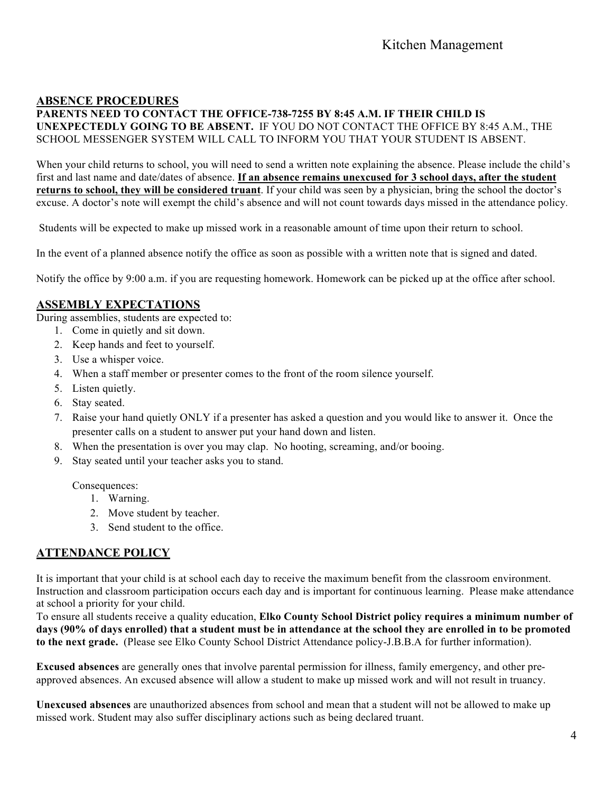#### **ABSENCE PROCEDURES**

**PARENTS NEED TO CONTACT THE OFFICE-738-7255 BY 8:45 A.M. IF THEIR CHILD IS UNEXPECTEDLY GOING TO BE ABSENT.** IF YOU DO NOT CONTACT THE OFFICE BY 8:45 A.M., THE SCHOOL MESSENGER SYSTEM WILL CALL TO INFORM YOU THAT YOUR STUDENT IS ABSENT.

When your child returns to school, you will need to send a written note explaining the absence. Please include the child's first and last name and date/dates of absence. **If an absence remains unexcused for 3 school days, after the student returns to school, they will be considered truant**. If your child was seen by a physician, bring the school the doctor's excuse. A doctor's note will exempt the child's absence and will not count towards days missed in the attendance policy*.*

Students will be expected to make up missed work in a reasonable amount of time upon their return to school.

In the event of a planned absence notify the office as soon as possible with a written note that is signed and dated.

Notify the office by 9:00 a.m. if you are requesting homework. Homework can be picked up at the office after school.

#### **ASSEMBLY EXPECTATIONS**

During assemblies, students are expected to:

- 1. Come in quietly and sit down.
- 2. Keep hands and feet to yourself.
- 3. Use a whisper voice.
- 4. When a staff member or presenter comes to the front of the room silence yourself.
- 5. Listen quietly.
- 6. Stay seated.
- 7. Raise your hand quietly ONLY if a presenter has asked a question and you would like to answer it. Once the presenter calls on a student to answer put your hand down and listen.
- 8. When the presentation is over you may clap. No hooting, screaming, and/or booing.
- 9. Stay seated until your teacher asks you to stand.

Consequences:

- 1. Warning.
- 2. Move student by teacher.
- 3. Send student to the office.

#### **ATTENDANCE POLICY**

It is important that your child is at school each day to receive the maximum benefit from the classroom environment. Instruction and classroom participation occurs each day and is important for continuous learning. Please make attendance at school a priority for your child.

To ensure all students receive a quality education, **Elko County School District policy requires a minimum number of days (90% of days enrolled) that a student must be in attendance at the school they are enrolled in to be promoted to the next grade.** (Please see Elko County School District Attendance policy-J.B.B.A for further information).

**Excused absences** are generally ones that involve parental permission for illness, family emergency, and other preapproved absences. An excused absence will allow a student to make up missed work and will not result in truancy.

**Unexcused absences** are unauthorized absences from school and mean that a student will not be allowed to make up missed work. Student may also suffer disciplinary actions such as being declared truant.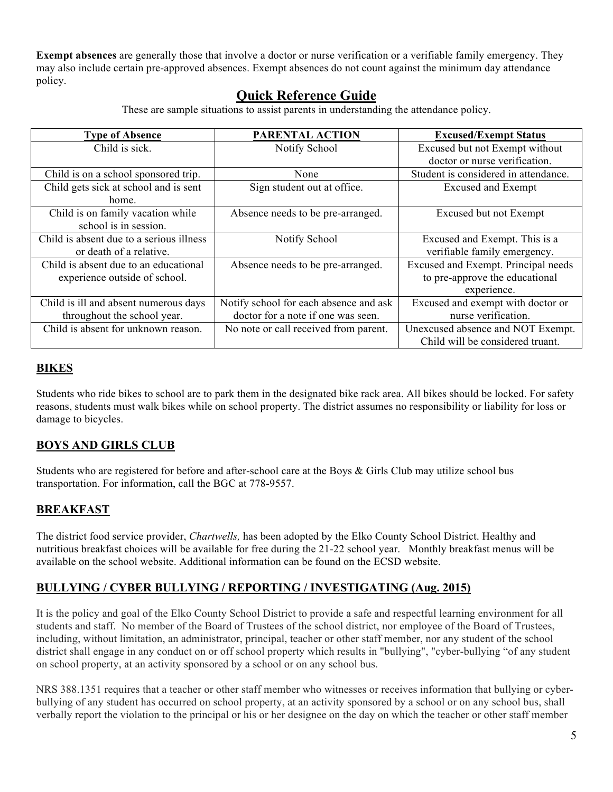**Exempt absences** are generally those that involve a doctor or nurse verification or a verifiable family emergency. They may also include certain pre-approved absences. Exempt absences do not count against the minimum day attendance policy.

#### **Quick Reference Guide**

These are sample situations to assist parents in understanding the attendance policy.

| <b>Type of Absence</b>                   | PARENTAL ACTION                        | <b>Excused/Exempt Status</b>         |
|------------------------------------------|----------------------------------------|--------------------------------------|
| Child is sick.                           | Notify School                          | Excused but not Exempt without       |
|                                          |                                        | doctor or nurse verification.        |
| Child is on a school sponsored trip.     | None                                   | Student is considered in attendance. |
| Child gets sick at school and is sent    | Sign student out at office.            | <b>Excused and Exempt</b>            |
| home.                                    |                                        |                                      |
| Child is on family vacation while        | Absence needs to be pre-arranged.      | Excused but not Exempt               |
| school is in session.                    |                                        |                                      |
| Child is absent due to a serious illness | Notify School                          | Excused and Exempt. This is a        |
| or death of a relative.                  |                                        | verifiable family emergency.         |
| Child is absent due to an educational    | Absence needs to be pre-arranged.      | Excused and Exempt. Principal needs  |
| experience outside of school.            |                                        | to pre-approve the educational       |
|                                          |                                        | experience.                          |
| Child is ill and absent numerous days    | Notify school for each absence and ask | Excused and exempt with doctor or    |
| throughout the school year.              | doctor for a note if one was seen.     | nurse verification.                  |
| Child is absent for unknown reason.      | No note or call received from parent.  | Unexcused absence and NOT Exempt.    |
|                                          |                                        | Child will be considered truant.     |

#### **BIKES**

Students who ride bikes to school are to park them in the designated bike rack area. All bikes should be locked. For safety reasons, students must walk bikes while on school property. The district assumes no responsibility or liability for loss or damage to bicycles.

#### **BOYS AND GIRLS CLUB**

Students who are registered for before and after-school care at the Boys & Girls Club may utilize school bus transportation. For information, call the BGC at 778-9557.

#### **BREAKFAST**

The district food service provider, *Chartwells,* has been adopted by the Elko County School District. Healthy and nutritious breakfast choices will be available for free during the 21-22 school year. Monthly breakfast menus will be available on the school website. Additional information can be found on the ECSD website.

#### **BULLYING / CYBER BULLYING / REPORTING / INVESTIGATING (Aug. 2015)**

It is the policy and goal of the Elko County School District to provide a safe and respectful learning environment for all students and staff. No member of the Board of Trustees of the school district, nor employee of the Board of Trustees, including, without limitation, an administrator, principal, teacher or other staff member, nor any student of the school district shall engage in any conduct on or off school property which results in "bullying", "cyber-bullying "of any student on school property, at an activity sponsored by a school or on any school bus.

NRS 388.1351 requires that a teacher or other staff member who witnesses or receives information that bullying or cyberbullying of any student has occurred on school property, at an activity sponsored by a school or on any school bus, shall verbally report the violation to the principal or his or her designee on the day on which the teacher or other staff member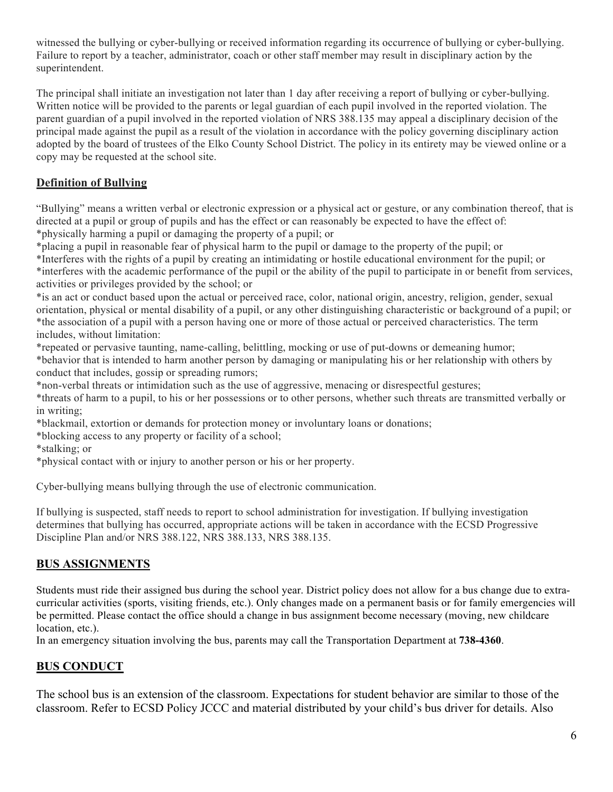witnessed the bullying or cyber-bullying or received information regarding its occurrence of bullying or cyber-bullying. Failure to report by a teacher, administrator, coach or other staff member may result in disciplinary action by the superintendent.

The principal shall initiate an investigation not later than 1 day after receiving a report of bullying or cyber-bullying. Written notice will be provided to the parents or legal guardian of each pupil involved in the reported violation. The parent guardian of a pupil involved in the reported violation of NRS 388.135 may appeal a disciplinary decision of the principal made against the pupil as a result of the violation in accordance with the policy governing disciplinary action adopted by the board of trustees of the Elko County School District. The policy in its entirety may be viewed online or a copy may be requested at the school site.

#### **Definition of Bullying**

"Bullying" means a written verbal or electronic expression or a physical act or gesture, or any combination thereof, that is directed at a pupil or group of pupils and has the effect or can reasonably be expected to have the effect of: \*physically harming a pupil or damaging the property of a pupil; or

\*placing a pupil in reasonable fear of physical harm to the pupil or damage to the property of the pupil; or

\*Interferes with the rights of a pupil by creating an intimidating or hostile educational environment for the pupil; or \*interferes with the academic performance of the pupil or the ability of the pupil to participate in or benefit from services, activities or privileges provided by the school; or

\*is an act or conduct based upon the actual or perceived race, color, national origin, ancestry, religion, gender, sexual orientation, physical or mental disability of a pupil, or any other distinguishing characteristic or background of a pupil; or \*the association of a pupil with a person having one or more of those actual or perceived characteristics. The term includes, without limitation:

\*repeated or pervasive taunting, name-calling, belittling, mocking or use of put-downs or demeaning humor; \*behavior that is intended to harm another person by damaging or manipulating his or her relationship with others by conduct that includes, gossip or spreading rumors;

\*non-verbal threats or intimidation such as the use of aggressive, menacing or disrespectful gestures;

\*threats of harm to a pupil, to his or her possessions or to other persons, whether such threats are transmitted verbally or in writing;

\*blackmail, extortion or demands for protection money or involuntary loans or donations;

\*blocking access to any property or facility of a school;

\*stalking; or

\*physical contact with or injury to another person or his or her property.

Cyber-bullying means bullying through the use of electronic communication.

If bullying is suspected, staff needs to report to school administration for investigation. If bullying investigation determines that bullying has occurred, appropriate actions will be taken in accordance with the ECSD Progressive Discipline Plan and/or NRS 388.122, NRS 388.133, NRS 388.135.

#### **BUS ASSIGNMENTS**

Students must ride their assigned bus during the school year. District policy does not allow for a bus change due to extracurricular activities (sports, visiting friends, etc.). Only changes made on a permanent basis or for family emergencies will be permitted. Please contact the office should a change in bus assignment become necessary (moving, new childcare location, etc.).

In an emergency situation involving the bus, parents may call the Transportation Department at **738-4360**.

#### **BUS CONDUCT**

The school bus is an extension of the classroom. Expectations for student behavior are similar to those of the classroom. Refer to ECSD Policy JCCC and material distributed by your child's bus driver for details. Also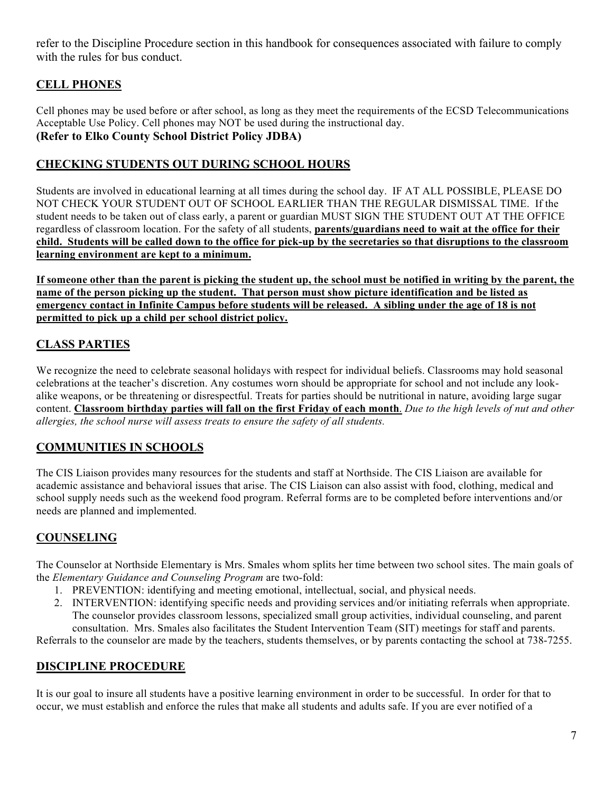refer to the Discipline Procedure section in this handbook for consequences associated with failure to comply with the rules for bus conduct.

#### **CELL PHONES**

Cell phones may be used before or after school, as long as they meet the requirements of the ECSD Telecommunications Acceptable Use Policy. Cell phones may NOT be used during the instructional day. **(Refer to Elko County School District Policy JDBA)**

#### **CHECKING STUDENTS OUT DURING SCHOOL HOURS**

Students are involved in educational learning at all times during the school day. IF AT ALL POSSIBLE, PLEASE DO NOT CHECK YOUR STUDENT OUT OF SCHOOL EARLIER THAN THE REGULAR DISMISSAL TIME. If the student needs to be taken out of class early, a parent or guardian MUST SIGN THE STUDENT OUT AT THE OFFICE regardless of classroom location. For the safety of all students, **parents/guardians need to wait at the office for their child. Students will be called down to the office for pick-up by the secretaries so that disruptions to the classroom learning environment are kept to a minimum.**

**If someone other than the parent is picking the student up, the school must be notified in writing by the parent, the name of the person picking up the student. That person must show picture identification and be listed as emergency contact in Infinite Campus before students will be released. A sibling under the age of 18 is not permitted to pick up a child per school district policy.**

#### **CLASS PARTIES**

We recognize the need to celebrate seasonal holidays with respect for individual beliefs. Classrooms may hold seasonal celebrations at the teacher's discretion. Any costumes worn should be appropriate for school and not include any lookalike weapons, or be threatening or disrespectful. Treats for parties should be nutritional in nature, avoiding large sugar content. **Classroom birthday parties will fall on the first Friday of each month**. *Due to the high levels of nut and other allergies, the school nurse will assess treats to ensure the safety of all students.* 

#### **COMMUNITIES IN SCHOOLS**

The CIS Liaison provides many resources for the students and staff at Northside. The CIS Liaison are available for academic assistance and behavioral issues that arise. The CIS Liaison can also assist with food, clothing, medical and school supply needs such as the weekend food program. Referral forms are to be completed before interventions and/or needs are planned and implemented.

#### **COUNSELING**

The Counselor at Northside Elementary is Mrs. Smales whom splits her time between two school sites. The main goals of the *Elementary Guidance and Counseling Program* are two-fold:

- 1. PREVENTION: identifying and meeting emotional, intellectual, social, and physical needs.
- 2. INTERVENTION: identifying specific needs and providing services and/or initiating referrals when appropriate. The counselor provides classroom lessons, specialized small group activities, individual counseling, and parent consultation. Mrs. Smales also facilitates the Student Intervention Team (SIT) meetings for staff and parents.

Referrals to the counselor are made by the teachers, students themselves, or by parents contacting the school at 738-7255.

#### **DISCIPLINE PROCEDURE**

It is our goal to insure all students have a positive learning environment in order to be successful. In order for that to occur, we must establish and enforce the rules that make all students and adults safe. If you are ever notified of a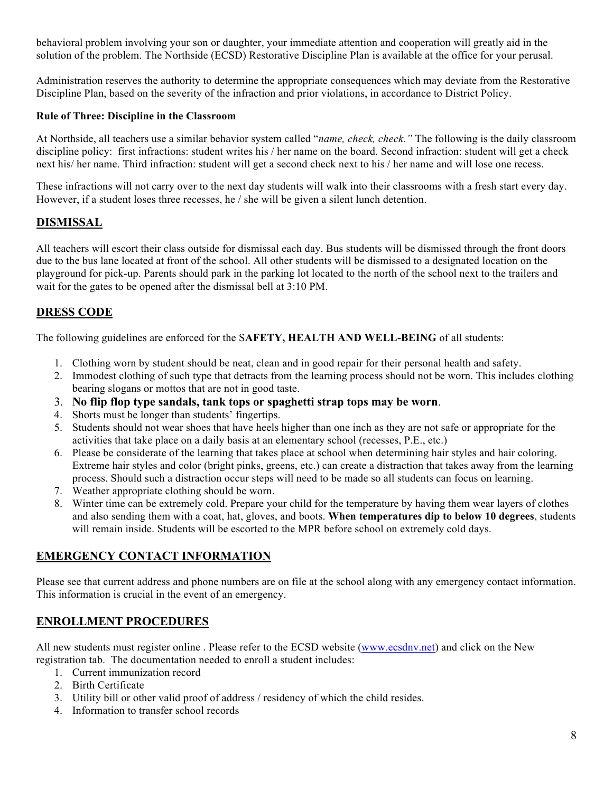behavioral problem involving your son or daughter, your immediate attention and cooperation will greatly aid in the solution of the problem. The Northside (ECSD) Restorative Discipline Plan is available at the office for your perusal.

Administration reserves the authority to determine the appropriate consequences which may deviate from the Restorative Discipline Plan, based on the severity of the infraction and prior violations, in accordance to District Policy.

#### **Rule of Three: Discipline in the Classroom**

At Northside, all teachers use a similar behavior system called "*name, check, check."* The following is the daily classroom discipline policy: first infractions: student writes his / her name on the board. Second infraction: student will get a check next his/ her name. Third infraction: student will get a second check next to his / her name and will lose one recess.

These infractions will not carry over to the next day students will walk into their classrooms with a fresh start every day. However, if a student loses three recesses, he / she will be given a silent lunch detention.

#### **DISMISSAL**

All teachers will escort their class outside for dismissal each day. Bus students will be dismissed through the front doors due to the bus lane located at front of the school. All other students will be dismissed to a designated location on the playground for pick-up. Parents should park in the parking lot located to the north of the school next to the trailers and wait for the gates to be opened after the dismissal bell at 3:10 PM.

#### **DRESS CODE**

The following guidelines are enforced for the S**AFETY, HEALTH AND WELL-BEING** of all students:

- 1. Clothing worn by student should be neat, clean and in good repair for their personal health and safety.
- 2. Immodest clothing of such type that detracts from the learning process should not be worn. This includes clothing bearing slogans or mottos that are not in good taste.
- 3. **No flip flop type sandals, tank tops or spaghetti strap tops may be worn**.
- 4. Shorts must be longer than students' fingertips.
- 5. Students should not wear shoes that have heels higher than one inch as they are not safe or appropriate for the activities that take place on a daily basis at an elementary school (recesses, P.E., etc.)
- 6. Please be considerate of the learning that takes place at school when determining hair styles and hair coloring. Extreme hair styles and color (bright pinks, greens, etc.) can create a distraction that takes away from the learning process. Should such a distraction occur steps will need to be made so all students can focus on learning.
- 7. Weather appropriate clothing should be worn.
- 8. Winter time can be extremely cold. Prepare your child for the temperature by having them wear layers of clothes and also sending them with a coat, hat, gloves, and boots. **When temperatures dip to below 10 degrees**, students will remain inside. Students will be escorted to the MPR before school on extremely cold days.

#### **EMERGENCY CONTACT INFORMATION**

Please see that current address and phone numbers are on file at the school along with any emergency contact information. This information is crucial in the event of an emergency.

#### **ENROLLMENT PROCEDURES**

All new students must register online . Please refer to the ECSD website (www.ecsdnv.net) and click on the New registration tab. The documentation needed to enroll a student includes:

- 1. Current immunization record
- 2. Birth Certificate
- 3. Utility bill or other valid proof of address / residency of which the child resides.
- 4. Information to transfer school records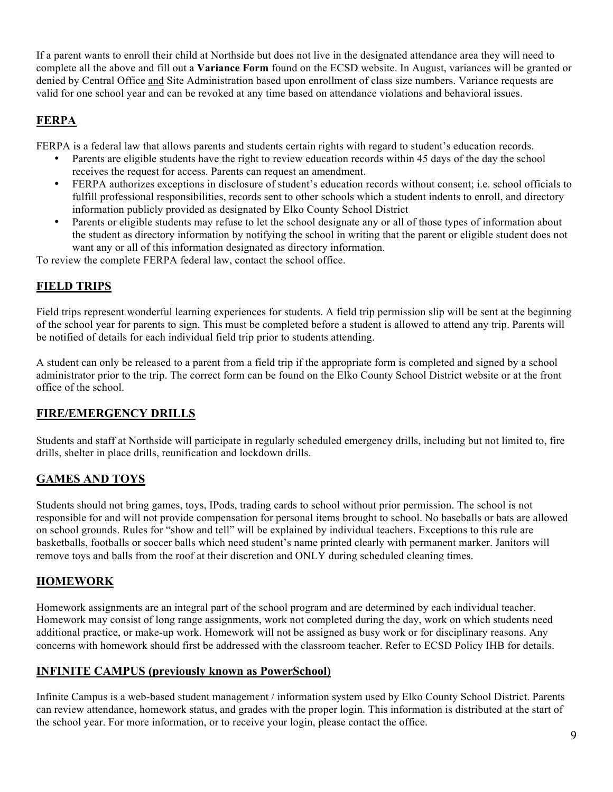If a parent wants to enroll their child at Northside but does not live in the designated attendance area they will need to complete all the above and fill out a **Variance Form** found on the ECSD website. In August, variances will be granted or denied by Central Office and Site Administration based upon enrollment of class size numbers. Variance requests are valid for one school year and can be revoked at any time based on attendance violations and behavioral issues.

#### **FERPA**

FERPA is a federal law that allows parents and students certain rights with regard to student's education records.

- Parents are eligible students have the right to review education records within 45 days of the day the school receives the request for access. Parents can request an amendment.
- FERPA authorizes exceptions in disclosure of student's education records without consent; i.e. school officials to fulfill professional responsibilities, records sent to other schools which a student indents to enroll, and directory information publicly provided as designated by Elko County School District
- Parents or eligible students may refuse to let the school designate any or all of those types of information about the student as directory information by notifying the school in writing that the parent or eligible student does not want any or all of this information designated as directory information.

To review the complete FERPA federal law, contact the school office.

#### **FIELD TRIPS**

Field trips represent wonderful learning experiences for students. A field trip permission slip will be sent at the beginning of the school year for parents to sign. This must be completed before a student is allowed to attend any trip. Parents will be notified of details for each individual field trip prior to students attending.

A student can only be released to a parent from a field trip if the appropriate form is completed and signed by a school administrator prior to the trip. The correct form can be found on the Elko County School District website or at the front office of the school.

#### **FIRE/EMERGENCY DRILLS**

Students and staff at Northside will participate in regularly scheduled emergency drills, including but not limited to, fire drills, shelter in place drills, reunification and lockdown drills.

#### **GAMES AND TOYS**

Students should not bring games, toys, IPods, trading cards to school without prior permission. The school is not responsible for and will not provide compensation for personal items brought to school. No baseballs or bats are allowed on school grounds. Rules for "show and tell" will be explained by individual teachers. Exceptions to this rule are basketballs, footballs or soccer balls which need student's name printed clearly with permanent marker. Janitors will remove toys and balls from the roof at their discretion and ONLY during scheduled cleaning times.

#### **HOMEWORK**

Homework assignments are an integral part of the school program and are determined by each individual teacher. Homework may consist of long range assignments, work not completed during the day, work on which students need additional practice, or make-up work. Homework will not be assigned as busy work or for disciplinary reasons. Any concerns with homework should first be addressed with the classroom teacher. Refer to ECSD Policy IHB for details.

#### **INFINITE CAMPUS (previously known as PowerSchool)**

Infinite Campus is a web-based student management / information system used by Elko County School District. Parents can review attendance, homework status, and grades with the proper login. This information is distributed at the start of the school year. For more information, or to receive your login, please contact the office.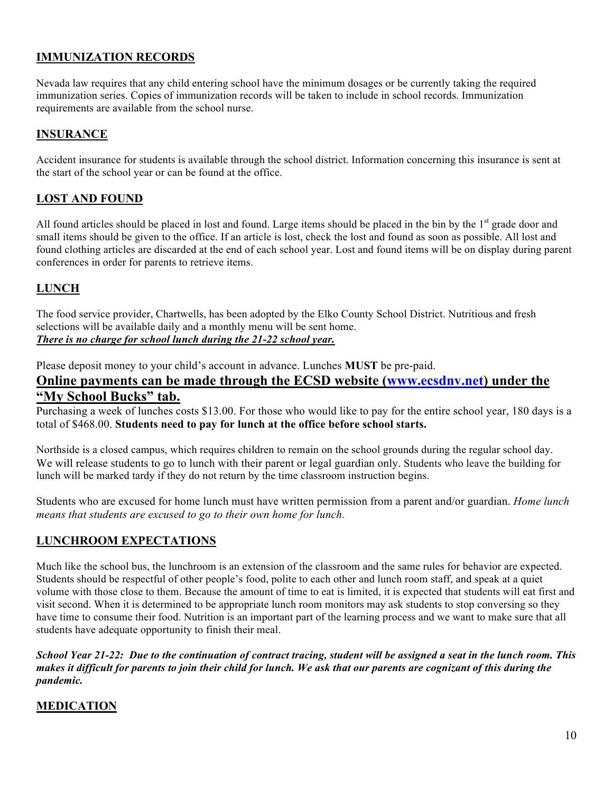#### **IMMUNIZATION RECORDS**

Nevada law requires that any child entering school have the minimum dosages or be currently taking the required immunization series. Copies of immunization records will be taken to include in school records. Immunization requirements are available from the school nurse.

#### **INSURANCE**

Accident insurance for students is available through the school district. Information concerning this insurance is sent at the start of the school year or can be found at the office.

#### **LOST AND FOUND**

All found articles should be placed in lost and found. Large items should be placed in the bin by the 1<sup>st</sup> grade door and small items should be given to the office. If an article is lost, check the lost and found as soon as possible. All lost and found clothing articles are discarded at the end of each school year. Lost and found items will be on display during parent conferences in order for parents to retrieve items.

#### **LUNCH**

The food service provider, Chartwells, has been adopted by the Elko County School District. Nutritious and fresh selections will be available daily and a monthly menu will be sent home. *There is no charge for school lunch during the 21-22 school year.* 

Please deposit money to your child's account in advance. Lunches **MUST** be pre-paid.

#### **Online payments can be made through the ECSD website (www.ecsdnv.net) under the "My School Bucks" tab.**

Purchasing a week of lunches costs \$13.00. For those who would like to pay for the entire school year, 180 days is a total of \$468.00. **Students need to pay for lunch at the office before school starts.**

Northside is a closed campus, which requires children to remain on the school grounds during the regular school day. We will release students to go to lunch with their parent or legal guardian only. Students who leave the building for lunch will be marked tardy if they do not return by the time classroom instruction begins.

Students who are excused for home lunch must have written permission from a parent and/or guardian. *Home lunch means that students are excused to go to their own home for lunch.* 

#### **LUNCHROOM EXPECTATIONS**

Much like the school bus, the lunchroom is an extension of the classroom and the same rules for behavior are expected. Students should be respectful of other people's food, polite to each other and lunch room staff, and speak at a quiet volume with those close to them. Because the amount of time to eat is limited, it is expected that students will eat first and visit second. When it is determined to be appropriate lunch room monitors may ask students to stop conversing so they have time to consume their food. Nutrition is an important part of the learning process and we want to make sure that all students have adequate opportunity to finish their meal.

*School Year 21-22: Due to the continuation of contract tracing, student will be assigned a seat in the lunch room. This makes it difficult for parents to join their child for lunch. We ask that our parents are cognizant of this during the pandemic.*

#### **MEDICATION**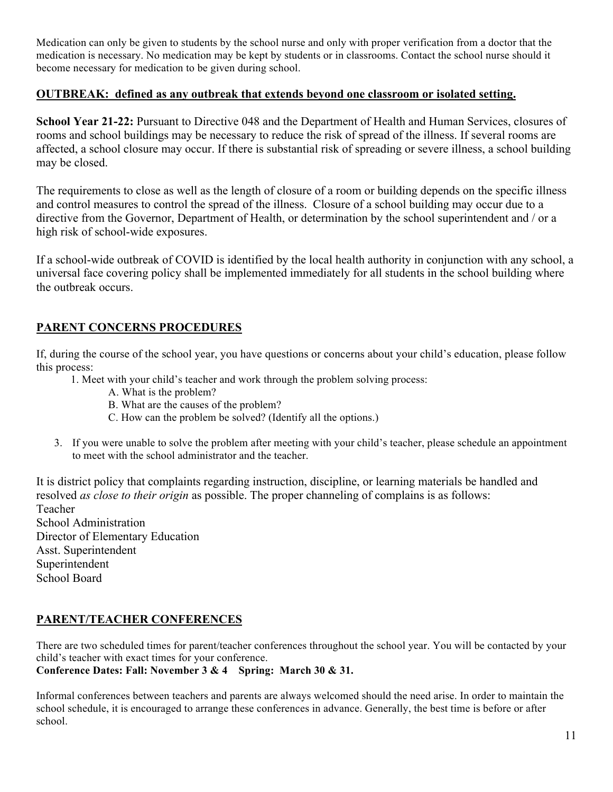Medication can only be given to students by the school nurse and only with proper verification from a doctor that the medication is necessary. No medication may be kept by students or in classrooms. Contact the school nurse should it become necessary for medication to be given during school.

#### **OUTBREAK: defined as any outbreak that extends beyond one classroom or isolated setting.**

**School Year 21-22:** Pursuant to Directive 048 and the Department of Health and Human Services, closures of rooms and school buildings may be necessary to reduce the risk of spread of the illness. If several rooms are affected, a school closure may occur. If there is substantial risk of spreading or severe illness, a school building may be closed.

The requirements to close as well as the length of closure of a room or building depends on the specific illness and control measures to control the spread of the illness. Closure of a school building may occur due to a directive from the Governor, Department of Health, or determination by the school superintendent and / or a high risk of school-wide exposures.

If a school-wide outbreak of COVID is identified by the local health authority in conjunction with any school, a universal face covering policy shall be implemented immediately for all students in the school building where the outbreak occurs.

#### **PARENT CONCERNS PROCEDURES**

If, during the course of the school year, you have questions or concerns about your child's education, please follow this process:

- 1. Meet with your child's teacher and work through the problem solving process:
	- A. What is the problem?
	- B. What are the causes of the problem?
	- C. How can the problem be solved? (Identify all the options.)
- 3. If you were unable to solve the problem after meeting with your child's teacher, please schedule an appointment to meet with the school administrator and the teacher.

It is district policy that complaints regarding instruction, discipline, or learning materials be handled and resolved *as close to their origin* as possible. The proper channeling of complains is as follows: Teacher School Administration Director of Elementary Education Asst. Superintendent Superintendent School Board

#### **PARENT/TEACHER CONFERENCES**

There are two scheduled times for parent/teacher conferences throughout the school year. You will be contacted by your child's teacher with exact times for your conference. **Conference Dates: Fall: November 3 & 4 Spring: March 30 & 31.** 

Informal conferences between teachers and parents are always welcomed should the need arise. In order to maintain the school schedule, it is encouraged to arrange these conferences in advance. Generally, the best time is before or after school.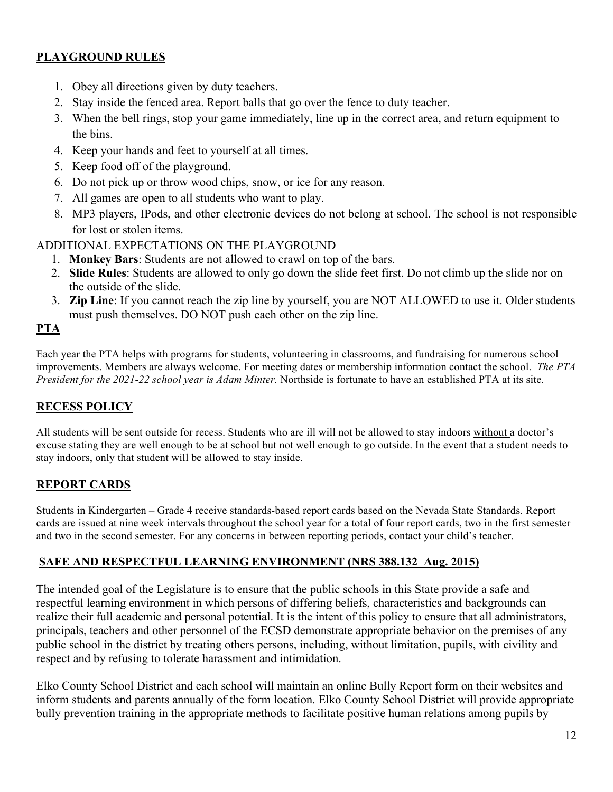#### **PLAYGROUND RULES**

- 1. Obey all directions given by duty teachers.
- 2. Stay inside the fenced area. Report balls that go over the fence to duty teacher.
- 3. When the bell rings, stop your game immediately, line up in the correct area, and return equipment to the bins.
- 4. Keep your hands and feet to yourself at all times.
- 5. Keep food off of the playground.
- 6. Do not pick up or throw wood chips, snow, or ice for any reason.
- 7. All games are open to all students who want to play.
- 8. MP3 players, IPods, and other electronic devices do not belong at school. The school is not responsible for lost or stolen items.
- ADDITIONAL EXPECTATIONS ON THE PLAYGROUND
	- 1. **Monkey Bars**: Students are not allowed to crawl on top of the bars.
	- 2. **Slide Rules**: Students are allowed to only go down the slide feet first. Do not climb up the slide nor on the outside of the slide.
	- 3. **Zip Line**: If you cannot reach the zip line by yourself, you are NOT ALLOWED to use it. Older students must push themselves. DO NOT push each other on the zip line.

#### **PTA**

Each year the PTA helps with programs for students, volunteering in classrooms, and fundraising for numerous school improvements. Members are always welcome. For meeting dates or membership information contact the school. *The PTA President for the 2021-22 school year is Adam Minter.* Northside is fortunate to have an established PTA at its site.

#### **RECESS POLICY**

All students will be sent outside for recess. Students who are ill will not be allowed to stay indoors without a doctor's excuse stating they are well enough to be at school but not well enough to go outside. In the event that a student needs to stay indoors, only that student will be allowed to stay inside.

#### **REPORT CARDS**

Students in Kindergarten – Grade 4 receive standards-based report cards based on the Nevada State Standards. Report cards are issued at nine week intervals throughout the school year for a total of four report cards, two in the first semester and two in the second semester. For any concerns in between reporting periods, contact your child's teacher.

#### **SAFE AND RESPECTFUL LEARNING ENVIRONMENT (NRS 388.132 Aug. 2015)**

The intended goal of the Legislature is to ensure that the public schools in this State provide a safe and respectful learning environment in which persons of differing beliefs, characteristics and backgrounds can realize their full academic and personal potential. It is the intent of this policy to ensure that all administrators, principals, teachers and other personnel of the ECSD demonstrate appropriate behavior on the premises of any public school in the district by treating others persons, including, without limitation, pupils, with civility and respect and by refusing to tolerate harassment and intimidation.

Elko County School District and each school will maintain an online Bully Report form on their websites and inform students and parents annually of the form location. Elko County School District will provide appropriate bully prevention training in the appropriate methods to facilitate positive human relations among pupils by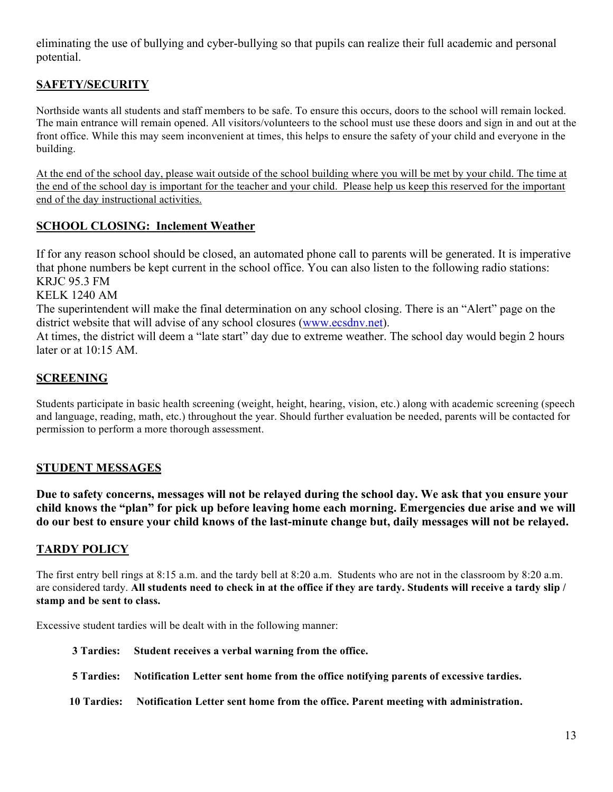eliminating the use of bullying and cyber-bullying so that pupils can realize their full academic and personal potential.

#### **SAFETY/SECURITY**

Northside wants all students and staff members to be safe. To ensure this occurs, doors to the school will remain locked. The main entrance will remain opened. All visitors/volunteers to the school must use these doors and sign in and out at the front office. While this may seem inconvenient at times, this helps to ensure the safety of your child and everyone in the building.

At the end of the school day, please wait outside of the school building where you will be met by your child. The time at the end of the school day is important for the teacher and your child. Please help us keep this reserved for the important end of the day instructional activities.

#### **SCHOOL CLOSING: Inclement Weather**

If for any reason school should be closed, an automated phone call to parents will be generated. It is imperative that phone numbers be kept current in the school office. You can also listen to the following radio stations: KRJC 95.3 FM

KELK 1240 AM

The superintendent will make the final determination on any school closing. There is an "Alert" page on the district website that will advise of any school closures (www.ecsdnv.net).

At times, the district will deem a "late start" day due to extreme weather. The school day would begin 2 hours later or at 10:15 AM.

#### **SCREENING**

Students participate in basic health screening (weight, height, hearing, vision, etc.) along with academic screening (speech and language, reading, math, etc.) throughout the year. Should further evaluation be needed, parents will be contacted for permission to perform a more thorough assessment.

#### **STUDENT MESSAGES**

**Due to safety concerns, messages will not be relayed during the school day. We ask that you ensure your child knows the "plan" for pick up before leaving home each morning. Emergencies due arise and we will do our best to ensure your child knows of the last-minute change but, daily messages will not be relayed.** 

#### **TARDY POLICY**

The first entry bell rings at 8:15 a.m. and the tardy bell at 8:20 a.m. Students who are not in the classroom by 8:20 a.m. are considered tardy. **All students need to check in at the office if they are tardy. Students will receive a tardy slip / stamp and be sent to class.**

Excessive student tardies will be dealt with in the following manner:

- **3 Tardies: Student receives a verbal warning from the office.**
- **5 Tardies: Notification Letter sent home from the office notifying parents of excessive tardies.**
- **10 Tardies: Notification Letter sent home from the office. Parent meeting with administration.**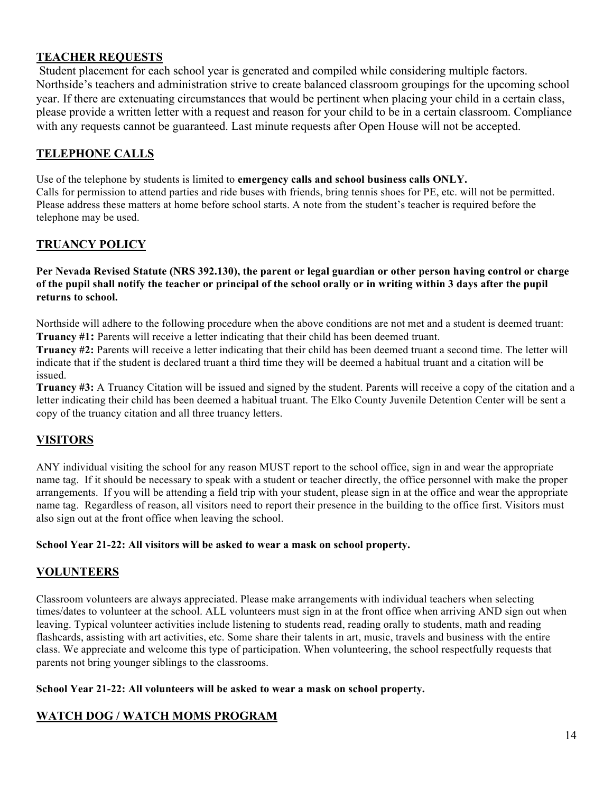#### **TEACHER REQUESTS**

 Student placement for each school year is generated and compiled while considering multiple factors. Northside's teachers and administration strive to create balanced classroom groupings for the upcoming school year. If there are extenuating circumstances that would be pertinent when placing your child in a certain class, please provide a written letter with a request and reason for your child to be in a certain classroom. Compliance with any requests cannot be guaranteed. Last minute requests after Open House will not be accepted.

#### **TELEPHONE CALLS**

Use of the telephone by students is limited to **emergency calls and school business calls ONLY.** Calls for permission to attend parties and ride buses with friends, bring tennis shoes for PE, etc. will not be permitted. Please address these matters at home before school starts. A note from the student's teacher is required before the telephone may be used.

#### **TRUANCY POLICY**

#### **Per Nevada Revised Statute (NRS 392.130), the parent or legal guardian or other person having control or charge of the pupil shall notify the teacher or principal of the school orally or in writing within 3 days after the pupil returns to school.**

Northside will adhere to the following procedure when the above conditions are not met and a student is deemed truant: **Truancy #1:** Parents will receive a letter indicating that their child has been deemed truant.

**Truancy #2:** Parents will receive a letter indicating that their child has been deemed truant a second time. The letter will indicate that if the student is declared truant a third time they will be deemed a habitual truant and a citation will be issued.

**Truancy #3:** A Truancy Citation will be issued and signed by the student. Parents will receive a copy of the citation and a letter indicating their child has been deemed a habitual truant. The Elko County Juvenile Detention Center will be sent a copy of the truancy citation and all three truancy letters.

#### **VISITORS**

ANY individual visiting the school for any reason MUST report to the school office, sign in and wear the appropriate name tag. If it should be necessary to speak with a student or teacher directly, the office personnel with make the proper arrangements. If you will be attending a field trip with your student, please sign in at the office and wear the appropriate name tag. Regardless of reason, all visitors need to report their presence in the building to the office first. Visitors must also sign out at the front office when leaving the school.

#### **School Year 21-22: All visitors will be asked to wear a mask on school property.**

#### **VOLUNTEERS**

Classroom volunteers are always appreciated. Please make arrangements with individual teachers when selecting times/dates to volunteer at the school. ALL volunteers must sign in at the front office when arriving AND sign out when leaving. Typical volunteer activities include listening to students read, reading orally to students, math and reading flashcards, assisting with art activities, etc. Some share their talents in art, music, travels and business with the entire class. We appreciate and welcome this type of participation. When volunteering, the school respectfully requests that parents not bring younger siblings to the classrooms.

#### **School Year 21-22: All volunteers will be asked to wear a mask on school property.**

#### **WATCH DOG / WATCH MOMS PROGRAM**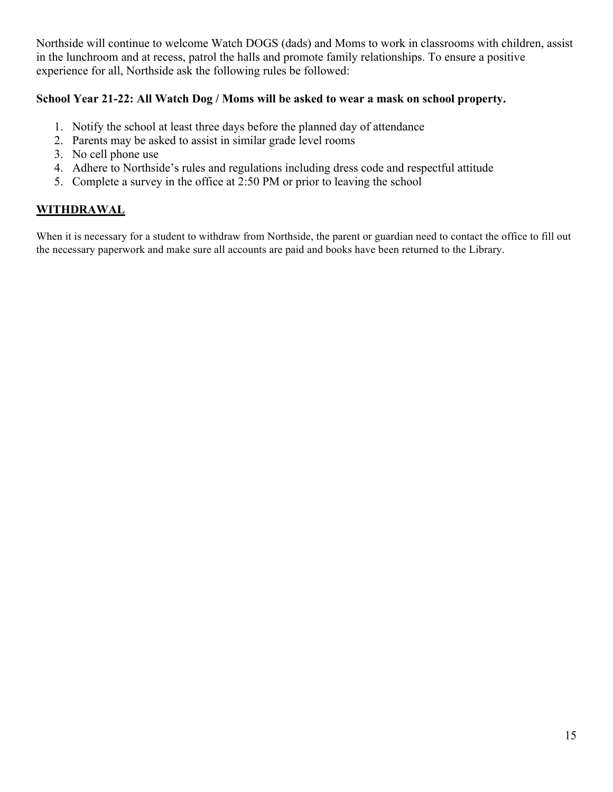Northside will continue to welcome Watch DOGS (dads) and Moms to work in classrooms with children, assist in the lunchroom and at recess, patrol the halls and promote family relationships. To ensure a positive experience for all, Northside ask the following rules be followed:

#### **School Year 21-22: All Watch Dog / Moms will be asked to wear a mask on school property.**

- 1. Notify the school at least three days before the planned day of attendance
- 2. Parents may be asked to assist in similar grade level rooms
- 3. No cell phone use
- 4. Adhere to Northside's rules and regulations including dress code and respectful attitude
- 5. Complete a survey in the office at 2:50 PM or prior to leaving the school

#### **WITHDRAWAL**

When it is necessary for a student to withdraw from Northside, the parent or guardian need to contact the office to fill out the necessary paperwork and make sure all accounts are paid and books have been returned to the Library.